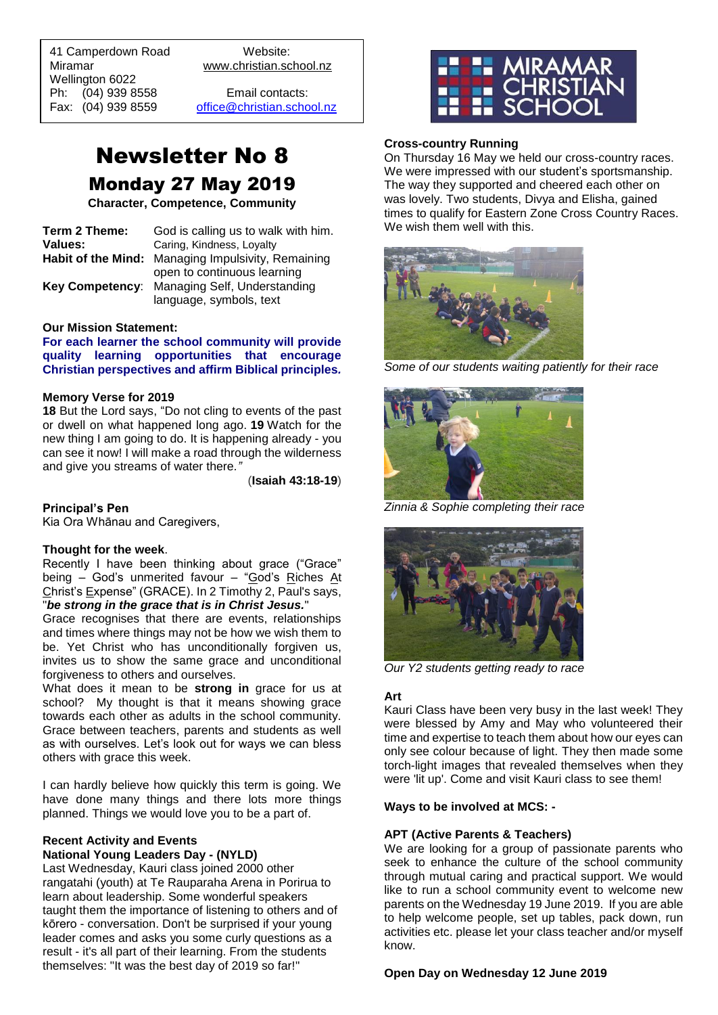41 Camperdown Road Website: Miramar www.christian.school.nz Wellington 6022 Ph: (04) 939 8558 Email contacts:

 $\overline{a}$ 

Fax: (04) 939 8559 [office@christian.school.nz](mailto:office@christian.school.nz)

# Newsletter No 8 Monday 27 May 2019

**Character, Competence, Community**

| Term 2 Theme: | God is calling us to walk with him.                |
|---------------|----------------------------------------------------|
| Values:       | Caring, Kindness, Loyalty                          |
|               | Habit of the Mind: Managing Impulsivity, Remaining |
|               | open to continuous learning                        |
|               | Key Competency: Managing Self, Understanding       |
|               | language, symbols, text                            |

#### **Our Mission Statement:**

**For each learner the school community will provide quality learning opportunities that encourage Christian perspectives and affirm Biblical principles***.*

## **Memory Verse for 2019**

**18** But the Lord says, "Do not cling to events of the past or dwell on what happened long ago. **19** Watch for the new thing I am going to do. It is happening already - you can see it now! I will make a road through the wilderness and give you streams of water there*."*

(**Isaiah 43:18-19**)

**Principal's Pen**

Kia Ora Whānau and Caregivers,

#### **Thought for the week**.

Recently I have been thinking about grace ("Grace" being – God's unmerited favour – "God's Riches At Christ's Expense" (GRACE). In 2 Timothy 2, Paul's says, "*be strong in the grace that is in Christ Jesus.*"

Grace recognises that there are events, relationships and times where things may not be how we wish them to be. Yet Christ who has unconditionally forgiven us, invites us to show the same grace and unconditional forgiveness to others and ourselves.

What does it mean to be **strong in** grace for us at school? My thought is that it means showing grace towards each other as adults in the school community. Grace between teachers, parents and students as well as with ourselves. Let's look out for ways we can bless others with grace this week.

I can hardly believe how quickly this term is going. We have done many things and there lots more things planned. Things we would love you to be a part of.

#### **Recent Activity and Events National Young Leaders Day - (NYLD)**

Last Wednesday, Kauri class joined 2000 other rangatahi (youth) at Te Rauparaha Arena in Porirua to learn about leadership. Some wonderful speakers taught them the importance of listening to others and of kōrero - conversation. Don't be surprised if your young leader comes and asks you some curly questions as a result - it's all part of their learning. From the students themselves: "It was the best day of 2019 so far!"



### **Cross-country Running**

On Thursday 16 May we held our cross-country races. We were impressed with our student's sportsmanship. The way they supported and cheered each other on was lovely. Two students, Divya and Elisha, gained times to qualify for Eastern Zone Cross Country Races. We wish them well with this.



*Some of our students waiting patiently for their race*



*Zinnia & Sophie completing their race*



*Our Y2 students getting ready to race*

#### **Art**

Kauri Class have been very busy in the last week! They were blessed by Amy and May who volunteered their time and expertise to teach them about how our eyes can only see colour because of light. They then made some torch-light images that revealed themselves when they were 'lit up'. Come and visit Kauri class to see them!

## **Ways to be involved at MCS: -**

#### **APT (Active Parents & Teachers)**

We are looking for a group of passionate parents who seek to enhance the culture of the school community through mutual caring and practical support. We would like to run a school community event to welcome new parents on the Wednesday 19 June 2019. If you are able to help welcome people, set up tables, pack down, run activities etc. please let your class teacher and/or myself know.

#### **Open Day on Wednesday 12 June 2019**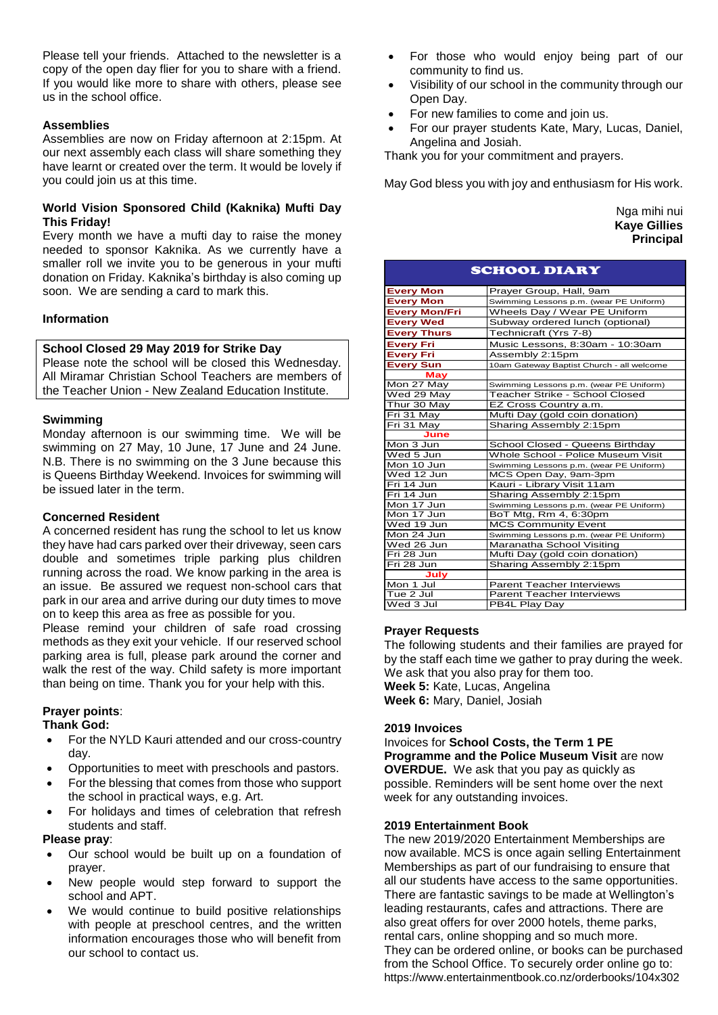Please tell your friends. Attached to the newsletter is a copy of the open day flier for you to share with a friend. If you would like more to share with others, please see us in the school office.

## **Assemblies**

Assemblies are now on Friday afternoon at 2:15pm. At our next assembly each class will share something they have learnt or created over the term. It would be lovely if you could join us at this time.

#### **World Vision Sponsored Child (Kaknika) Mufti Day This Friday!**

Every month we have a mufti day to raise the money needed to sponsor Kaknika. As we currently have a smaller roll we invite you to be generous in your mufti donation on Friday. Kaknika's birthday is also coming up soon. We are sending a card to mark this.

## **Information**

## **School Closed 29 May 2019 for Strike Day**

Please note the school will be closed this Wednesday. All Miramar Christian School Teachers are members of the Teacher Union - New Zealand Education Institute.

#### **Swimming**

Monday afternoon is our swimming time. We will be swimming on 27 May, 10 June, 17 June and 24 June. N.B. There is no swimming on the 3 June because this is Queens Birthday Weekend. Invoices for swimming will be issued later in the term.

#### **Concerned Resident**

A concerned resident has rung the school to let us know they have had cars parked over their driveway, seen cars double and sometimes triple parking plus children running across the road. We know parking in the area is an issue. Be assured we request non-school cars that park in our area and arrive during our duty times to move on to keep this area as free as possible for you.

Please remind your children of safe road crossing methods as they exit your vehicle. If our reserved school parking area is full, please park around the corner and walk the rest of the way. Child safety is more important than being on time. Thank you for your help with this.

## **Prayer points**:

#### **Thank God:**

- For the NYLD Kauri attended and our cross-country day.
- Opportunities to meet with preschools and pastors.
- For the blessing that comes from those who support the school in practical ways, e.g. Art.
- For holidays and times of celebration that refresh students and staff.

#### **Please pray**:

- Our school would be built up on a foundation of prayer.
- New people would step forward to support the school and APT.
- We would continue to build positive relationships with people at preschool centres, and the written information encourages those who will benefit from our school to contact us.
- For those who would enjoy being part of our community to find us.
- Visibility of our school in the community through our Open Day.
- For new families to come and join us.
- For our prayer students Kate, Mary, Lucas, Daniel, Angelina and Josiah.

Thank you for your commitment and prayers.

May God bless you with joy and enthusiasm for His work.

| Nga mihi nui        |
|---------------------|
| <b>Kaye Gillies</b> |
| <b>Principal</b>    |

| <b>SCHOOL DIARY</b>  |                                           |
|----------------------|-------------------------------------------|
| <b>Every Mon</b>     | Prayer Group, Hall, 9am                   |
| <b>Every Mon</b>     | Swimming Lessons p.m. (wear PE Uniform)   |
| <b>Every Mon/Fri</b> | Wheels Day / Wear PE Uniform              |
| <b>Every Wed</b>     | Subway ordered lunch (optional)           |
| <b>Every Thurs</b>   | Technicraft (Yrs 7-8)                     |
| <b>Every Fri</b>     | Music Lessons, 8:30am - 10:30am           |
| <b>Every Fri</b>     | Assembly 2:15pm                           |
| <b>Every Sun</b>     | 10am Gateway Baptist Church - all welcome |
| <b>May</b>           |                                           |
| Mon 27 May           | Swimming Lessons p.m. (wear PE Uniform)   |
| Wed 29 May           | Teacher Strike - School Closed            |
| Thur 30 May          | EZ Cross Country a.m.                     |
| Fri 31 May           | Mufti Day (gold coin donation)            |
| Fri 31 May           | Sharing Assembly 2:15pm                   |
| June                 |                                           |
| $M$ on $3$ Jun       | School Closed - Queens Birthday           |
| Wed 5 Jun            | Whole School - Police Museum Visit        |
| Mon 10 Jun           | Swimming Lessons p.m. (wear PE Uniform)   |
| Wed 12 Jun           | MCS Open Day, 9am-3pm                     |
| Fri 14 Jun           | Kauri - Library Visit 11am                |
| Fri 14 Jun           | Sharing Assembly 2:15pm                   |
| Mon 17 Jun           | Swimming Lessons p.m. (wear PE Uniform)   |
| Mon 17 Jun           | BoT Mtg, Rm 4, 6:30pm                     |
| Wed 19 Jun           | <b>MCS Community Event</b>                |
| Mon 24 Jun           | Swimming Lessons p.m. (wear PE Uniform)   |
| Wed 26 Jun           | Maranatha School Visiting                 |
| Fri 28 Jun           | Mufti Day (gold coin donation)            |
| Fri 28 Jun           | Sharing Assembly 2:15pm                   |
| July                 |                                           |
| Mon 1 Jul            | <b>Parent Teacher Interviews</b>          |
| Tue 2 Jul            | <b>Parent Teacher Interviews</b>          |
| Wed 3 Jul            | PB4L Play Day                             |

#### **Prayer Requests**

The following students and their families are prayed for by the staff each time we gather to pray during the week. We ask that you also pray for them too. **Week 5:** Kate, Lucas, Angelina **Week 6:** Mary, Daniel, Josiah

#### **2019 Invoices**

#### Invoices for **School Costs, the Term 1 PE Programme and the Police Museum Visit** are now **OVERDUE.** We ask that you pay as quickly as possible. Reminders will be sent home over the next week for any outstanding invoices.

#### **2019 Entertainment Book**

The new 2019/2020 Entertainment Memberships are now available. MCS is once again selling Entertainment Memberships as part of our fundraising to ensure that all our students have access to the same opportunities. There are fantastic savings to be made at Wellington's leading restaurants, cafes and attractions. There are also great offers for over 2000 hotels, theme parks, rental cars, online shopping and so much more. They can be ordered online, or books can be purchased from the School Office. To securely order online go to: https://www.entertainmentbook.co.nz/orderbooks/104x302